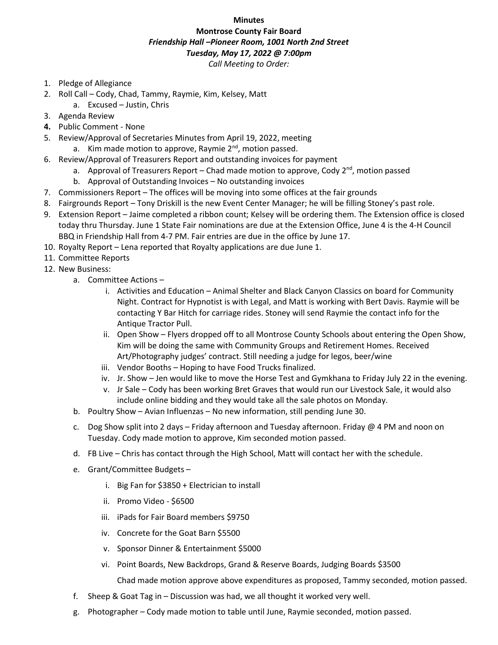## **Minutes**

## **Montrose County Fair Board** *Friendship Hall –Pioneer Room, 1001 North 2nd Street Tuesday, May 17, 2022 @ 7:00pm*

*Call Meeting to Order:*

- 1. Pledge of Allegiance
- 2. Roll Call Cody, Chad, Tammy, Raymie, Kim, Kelsey, Matt
	- a. Excused Justin, Chris
- 3. Agenda Review
- **4.** Public Comment None
- 5. Review/Approval of Secretaries Minutes from April 19, 2022, meeting a. Kim made motion to approve, Raymie  $2<sup>nd</sup>$ , motion passed.
- 6. Review/Approval of Treasurers Report and outstanding invoices for payment
	- a. Approval of Treasurers Report Chad made motion to approve, Cody  $2^{nd}$ , motion passed
		- b. Approval of Outstanding Invoices No outstanding invoices
- 7. Commissioners Report The offices will be moving into some offices at the fair grounds
- 8. Fairgrounds Report Tony Driskill is the new Event Center Manager; he will be filling Stoney's past role.
- 9. Extension Report Jaime completed a ribbon count; Kelsey will be ordering them. The Extension office is closed today thru Thursday. June 1 State Fair nominations are due at the Extension Office, June 4 is the 4-H Council BBQ in Friendship Hall from 4-7 PM. Fair entries are due in the office by June 17.
- 10. Royalty Report Lena reported that Royalty applications are due June 1.
- 11. Committee Reports
- 12. New Business:
	- a. Committee Actions
		- i. Activities and Education Animal Shelter and Black Canyon Classics on board for Community Night. Contract for Hypnotist is with Legal, and Matt is working with Bert Davis. Raymie will be contacting Y Bar Hitch for carriage rides. Stoney will send Raymie the contact info for the Antique Tractor Pull.
		- ii. Open Show Flyers dropped off to all Montrose County Schools about entering the Open Show, Kim will be doing the same with Community Groups and Retirement Homes. Received Art/Photography judges' contract. Still needing a judge for legos, beer/wine
		- iii. Vendor Booths Hoping to have Food Trucks finalized.
		- iv. Jr. Show Jen would like to move the Horse Test and Gymkhana to Friday July 22 in the evening.
		- v. Jr Sale Cody has been working Bret Graves that would run our Livestock Sale, it would also include online bidding and they would take all the sale photos on Monday.
	- b. Poultry Show Avian Influenzas No new information, still pending June 30.
	- c. Dog Show split into 2 days Friday afternoon and Tuesday afternoon. Friday @ 4 PM and noon on Tuesday. Cody made motion to approve, Kim seconded motion passed.
	- d. FB Live Chris has contact through the High School, Matt will contact her with the schedule.
	- e. Grant/Committee Budgets
		- i. Big Fan for \$3850 + Electrician to install
		- ii. Promo Video \$6500
		- iii. iPads for Fair Board members \$9750
		- iv. Concrete for the Goat Barn \$5500
		- v. Sponsor Dinner & Entertainment \$5000
		- vi. Point Boards, New Backdrops, Grand & Reserve Boards, Judging Boards \$3500

Chad made motion approve above expenditures as proposed, Tammy seconded, motion passed.

- f. Sheep & Goat Tag in Discussion was had, we all thought it worked very well.
- g. Photographer Cody made motion to table until June, Raymie seconded, motion passed.